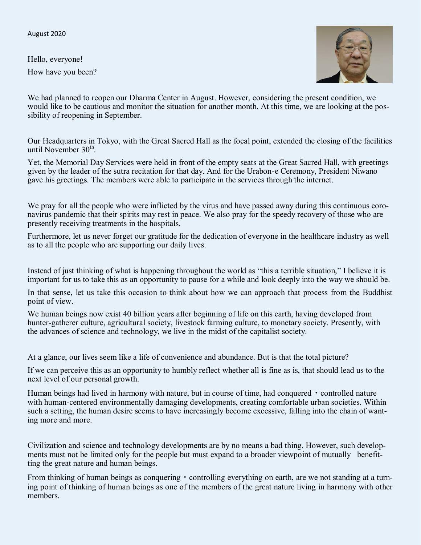August 2020

Hello, everyone! How have you been?



We had planned to reopen our Dharma Center in August. However, considering the present condition, we would like to be cautious and monitor the situation for another month. At this time, we are looking at the possibility of reopening in September.

Our Headquarters in Tokyo, with the Great Sacred Hall as the focal point, extended the closing of the facilities until November  $30<sup>th</sup>$ .

Yet, the Memorial Day Services were held in front of the empty seats at the Great Sacred Hall, with greetings given by the leader of the sutra recitation for that day. And for the Urabon-e Ceremony, President Niwano gave his greetings. The members were able to participate in the services through the internet.

We pray for all the people who were inflicted by the virus and have passed away during this continuous coronavirus pandemic that their spirits may rest in peace. We also pray for the speedy recovery of those who are presently receiving treatments in the hospitals.

Furthermore, let us never forget our gratitude for the dedication of everyone in the healthcare industry as well as to all the people who are supporting our daily lives.

Instead of just thinking of what is happening throughout the world as "this a terrible situation," I believe it is important for us to take this as an opportunity to pause for a while and look deeply into the way we should be.

In that sense, let us take this occasion to think about how we can approach that process from the Buddhist point of view.

We human beings now exist 40 billion years after beginning of life on this earth, having developed from hunter-gatherer culture, agricultural society, livestock farming culture, to monetary society. Presently, with the advances of science and technology, we live in the midst of the capitalist society.

At a glance, our lives seem like a life of convenience and abundance. But is that the total picture?

If we can perceive this as an opportunity to humbly reflect whether all is fine as is, that should lead us to the next level of our personal growth.

Human beings had lived in harmony with nature, but in course of time, had conquered • controlled nature with human-centered environmentally damaging developments, creating comfortable urban societies. Within such a setting, the human desire seems to have increasingly become excessive, falling into the chain of wanting more and more.

Civilization and science and technology developments are by no means a bad thing. However, such developments must not be limited only for the people but must expand to a broader viewpoint of mutually benefitting the great nature and human beings.

From thinking of human beings as conquering • controlling everything on earth, are we not standing at a turning point of thinking of human beings as one of the members of the great nature living in harmony with other members.